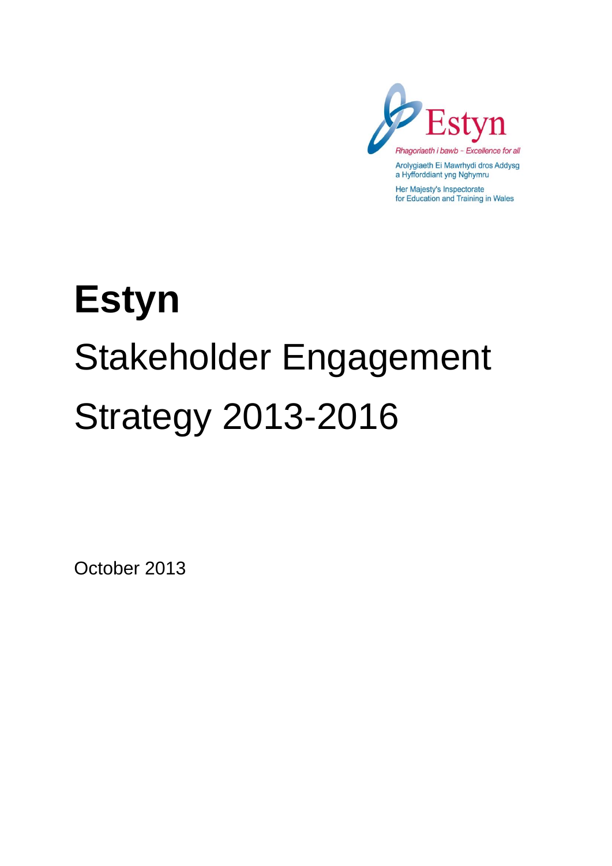

Her Majesty's Inspectorate for Education and Training in Wales

# **Estyn**  Stakeholder Engagement Strategy 2013-2016

October 2013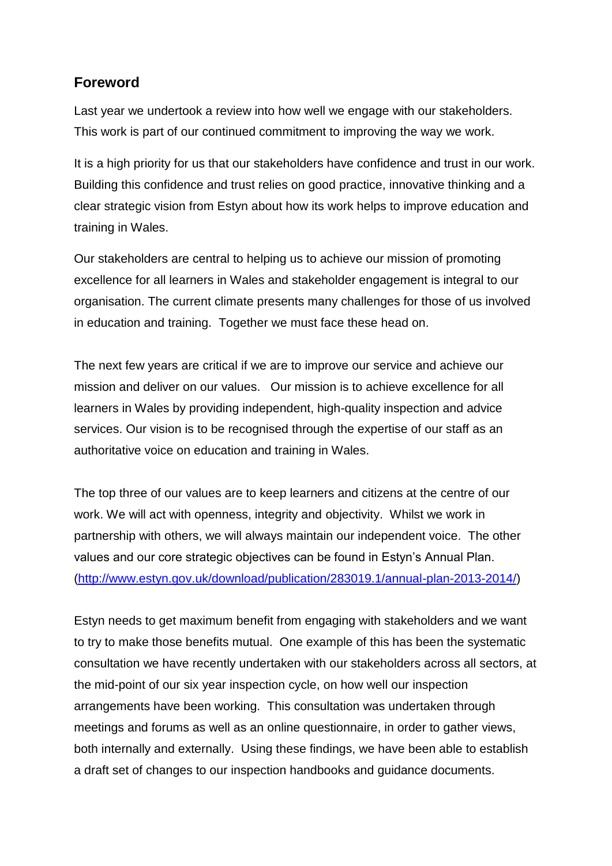# **Foreword**

Last year we undertook a review into how well we engage with our stakeholders. This work is part of our continued commitment to improving the way we work.

It is a high priority for us that our stakeholders have confidence and trust in our work. Building this confidence and trust relies on good practice, innovative thinking and a clear strategic vision from Estyn about how its work helps to improve education and training in Wales.

Our stakeholders are central to helping us to achieve our mission of promoting excellence for all learners in Wales and stakeholder engagement is integral to our organisation. The current climate presents many challenges for those of us involved in education and training. Together we must face these head on.

The next few years are critical if we are to improve our service and achieve our mission and deliver on our values. Our mission is to achieve excellence for all learners in Wales by providing independent, high-quality inspection and advice services. Our vision is to be recognised through the expertise of our staff as an authoritative voice on education and training in Wales.

The top three of our values are to keep learners and citizens at the centre of our work. We will act with openness, integrity and objectivity. Whilst we work in partnership with others, we will always maintain our independent voice. The other values and our core strategic objectives can be found in Estyn's Annual Plan. [\(http://www.estyn.gov.uk/download/publication/283019.1/annual-plan-2013-2014/\)](http://www.estyn.gov.uk/download/publication/283019.1/annual-plan-2013-2014/)

Estyn needs to get maximum benefit from engaging with stakeholders and we want to try to make those benefits mutual. One example of this has been the systematic consultation we have recently undertaken with our stakeholders across all sectors, at the mid-point of our six year inspection cycle, on how well our inspection arrangements have been working. This consultation was undertaken through meetings and forums as well as an online questionnaire, in order to gather views, both internally and externally. Using these findings, we have been able to establish a draft set of changes to our inspection handbooks and guidance documents.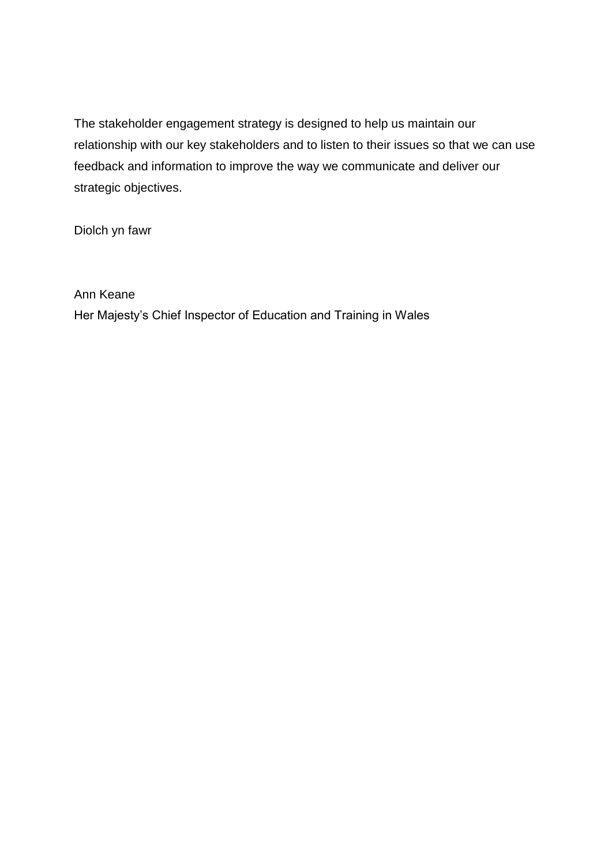The stakeholder engagement strategy is designed to help us maintain our relationship with our key stakeholders and to listen to their issues so that we can use feedback and information to improve the way we communicate and deliver our strategic objectives.

Diolch yn fawr

Ann Keane

Her Majesty's Chief Inspector of Education and Training in Wales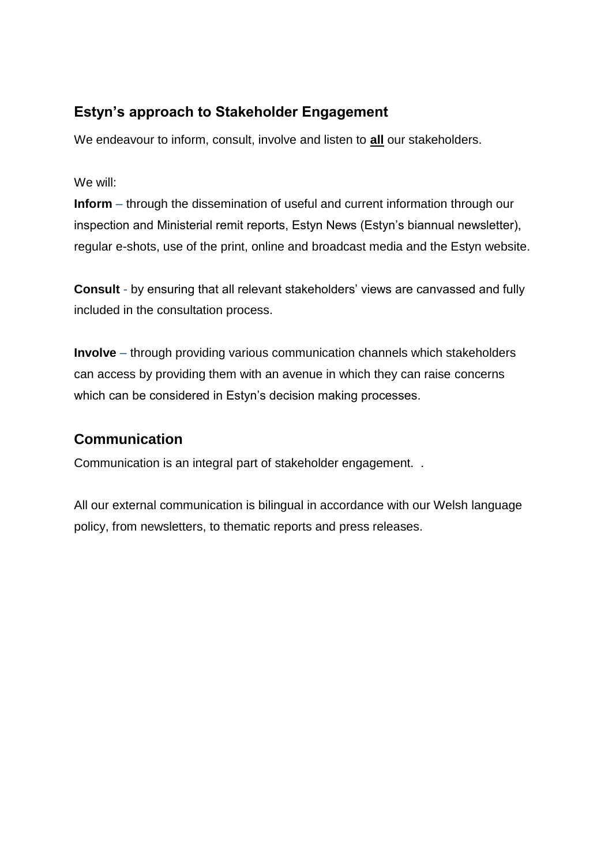# **Estyn's approach to Stakeholder Engagement**

We endeavour to inform, consult, involve and listen to **all** our stakeholders.

We will:

**Inform** – through the dissemination of useful and current information through our inspection and Ministerial remit reports, Estyn News (Estyn's biannual newsletter), regular e-shots, use of the print, online and broadcast media and the Estyn website.

**Consult** - by ensuring that all relevant stakeholders' views are canvassed and fully included in the consultation process.

**Involve** – through providing various communication channels which stakeholders can access by providing them with an avenue in which they can raise concerns which can be considered in Estyn's decision making processes.

# **Communication**

Communication is an integral part of stakeholder engagement. .

All our external communication is bilingual in accordance with our Welsh language policy, from newsletters, to thematic reports and press releases.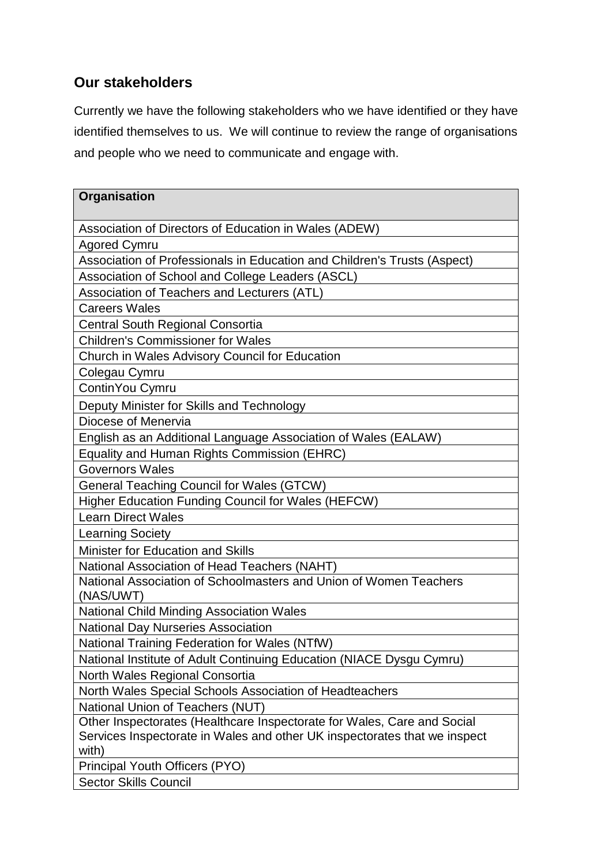# **Our stakeholders**

Currently we have the following stakeholders who we have identified or they have identified themselves to us. We will continue to review the range of organisations and people who we need to communicate and engage with.

| Organisation                                                                    |
|---------------------------------------------------------------------------------|
| Association of Directors of Education in Wales (ADEW)                           |
| <b>Agored Cymru</b>                                                             |
| Association of Professionals in Education and Children's Trusts (Aspect)        |
| Association of School and College Leaders (ASCL)                                |
| Association of Teachers and Lecturers (ATL)                                     |
| <b>Careers Wales</b>                                                            |
| <b>Central South Regional Consortia</b>                                         |
| <b>Children's Commissioner for Wales</b>                                        |
| Church in Wales Advisory Council for Education                                  |
| Colegau Cymru                                                                   |
| ContinYou Cymru                                                                 |
| Deputy Minister for Skills and Technology                                       |
| Diocese of Menervia                                                             |
|                                                                                 |
| English as an Additional Language Association of Wales (EALAW)                  |
| Equality and Human Rights Commission (EHRC)                                     |
| <b>Governors Wales</b>                                                          |
| <b>General Teaching Council for Wales (GTCW)</b>                                |
| Higher Education Funding Council for Wales (HEFCW)<br><b>Learn Direct Wales</b> |
|                                                                                 |
| <b>Learning Society</b>                                                         |
| Minister for Education and Skills                                               |
| National Association of Head Teachers (NAHT)                                    |
| National Association of Schoolmasters and Union of Women Teachers<br>(NAS/UWT)  |
| <b>National Child Minding Association Wales</b>                                 |
| <b>National Day Nurseries Association</b>                                       |
| National Training Federation for Wales (NTfW)                                   |
| National Institute of Adult Continuing Education (NIACE Dysgu Cymru)            |
| North Wales Regional Consortia                                                  |
| North Wales Special Schools Association of Headteachers                         |
| National Union of Teachers (NUT)                                                |
| Other Inspectorates (Healthcare Inspectorate for Wales, Care and Social         |
| Services Inspectorate in Wales and other UK inspectorates that we inspect       |
| with)                                                                           |
| Principal Youth Officers (PYO)                                                  |
| <b>Sector Skills Council</b>                                                    |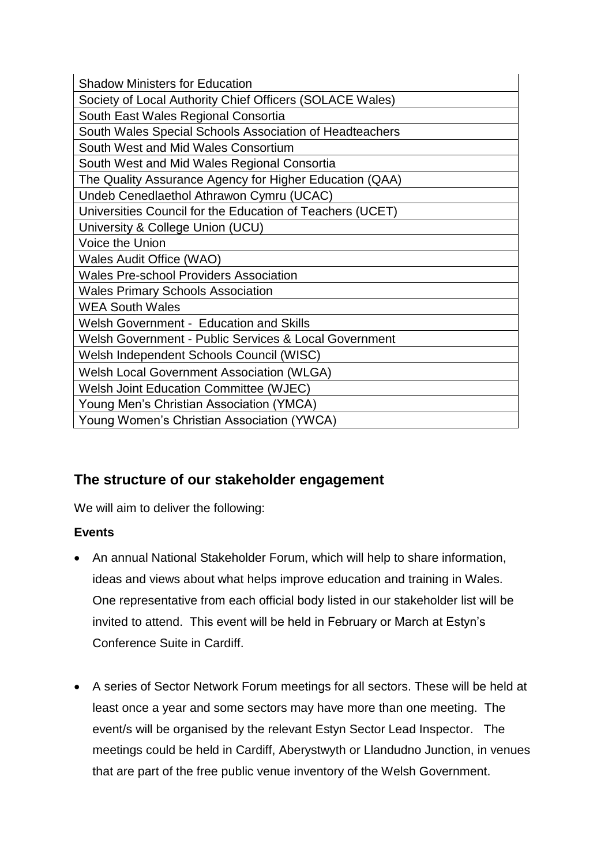| <b>Shadow Ministers for Education</b>                     |
|-----------------------------------------------------------|
| Society of Local Authority Chief Officers (SOLACE Wales)  |
| South East Wales Regional Consortia                       |
| South Wales Special Schools Association of Headteachers   |
| South West and Mid Wales Consortium                       |
| South West and Mid Wales Regional Consortia               |
| The Quality Assurance Agency for Higher Education (QAA)   |
| Undeb Cenedlaethol Athrawon Cymru (UCAC)                  |
| Universities Council for the Education of Teachers (UCET) |
| University & College Union (UCU)                          |
| Voice the Union                                           |
| Wales Audit Office (WAO)                                  |
| <b>Wales Pre-school Providers Association</b>             |
| <b>Wales Primary Schools Association</b>                  |
| <b>WEA South Wales</b>                                    |
| Welsh Government - Education and Skills                   |
| Welsh Government - Public Services & Local Government     |
| Welsh Independent Schools Council (WISC)                  |
| <b>Welsh Local Government Association (WLGA)</b>          |
| Welsh Joint Education Committee (WJEC)                    |
| Young Men's Christian Association (YMCA)                  |
| Young Women's Christian Association (YWCA)                |

# **The structure of our stakeholder engagement**

We will aim to deliver the following:

## **Events**

- An annual National Stakeholder Forum, which will help to share information, ideas and views about what helps improve education and training in Wales. One representative from each official body listed in our stakeholder list will be invited to attend. This event will be held in February or March at Estyn's Conference Suite in Cardiff.
- A series of Sector Network Forum meetings for all sectors. These will be held at least once a year and some sectors may have more than one meeting. The event/s will be organised by the relevant Estyn Sector Lead Inspector. The meetings could be held in Cardiff, Aberystwyth or Llandudno Junction, in venues that are part of the free public venue inventory of the Welsh Government.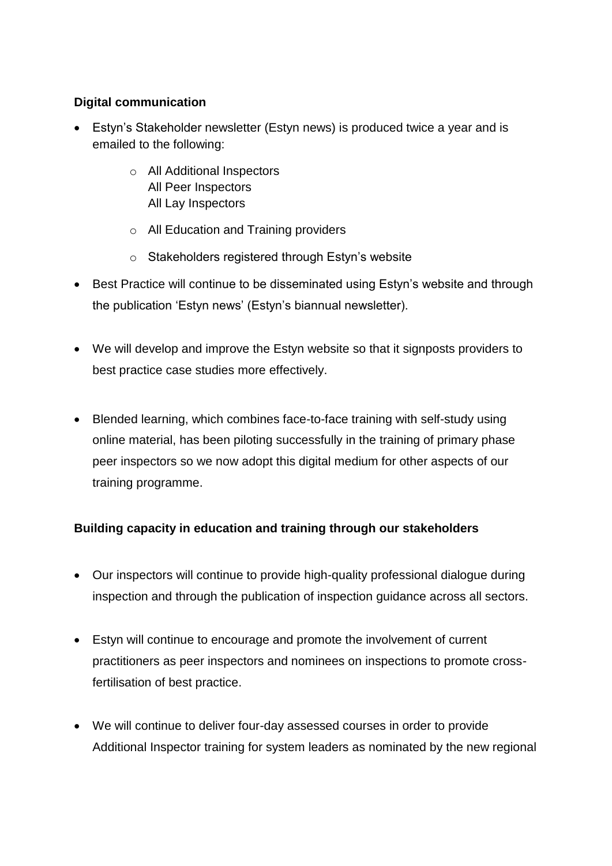#### **Digital communication**

- Estyn's Stakeholder newsletter (Estyn news) is produced twice a year and is emailed to the following:
	- o All Additional Inspectors All Peer Inspectors All Lay Inspectors
	- o All Education and Training providers
	- $\circ$  Stakeholders registered through Estyn's website
- Best Practice will continue to be disseminated using Estyn's website and through the publication 'Estyn news' (Estyn's biannual newsletter).
- We will develop and improve the Estyn website so that it signposts providers to best practice case studies more effectively.
- Blended learning, which combines face-to-face training with self-study using online material, has been piloting successfully in the training of primary phase peer inspectors so we now adopt this digital medium for other aspects of our training programme.

## **Building capacity in education and training through our stakeholders**

- Our inspectors will continue to provide high-quality professional dialogue during inspection and through the publication of inspection guidance across all sectors.
- Estyn will continue to encourage and promote the involvement of current practitioners as peer inspectors and nominees on inspections to promote crossfertilisation of best practice.
- We will continue to deliver four-day assessed courses in order to provide Additional Inspector training for system leaders as nominated by the new regional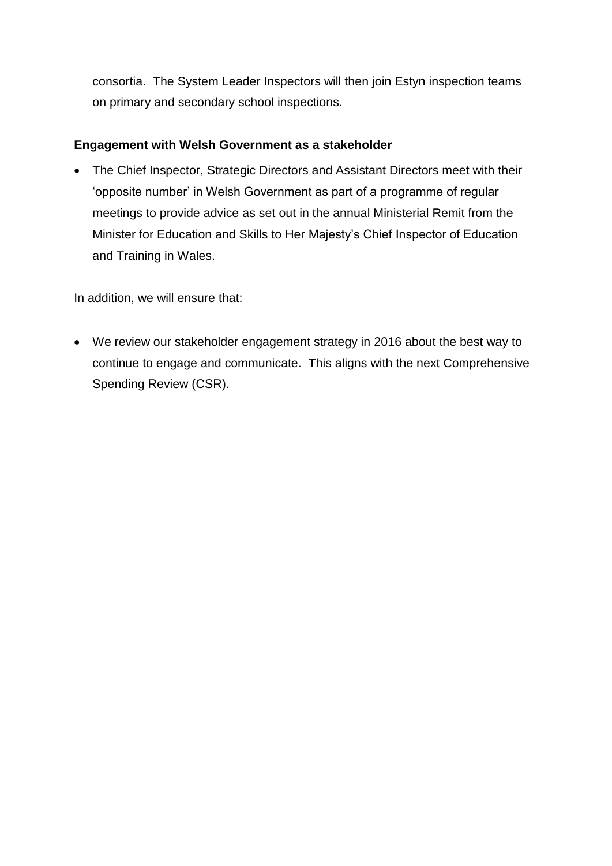consortia. The System Leader Inspectors will then join Estyn inspection teams on primary and secondary school inspections.

#### **Engagement with Welsh Government as a stakeholder**

 The Chief Inspector, Strategic Directors and Assistant Directors meet with their 'opposite number' in Welsh Government as part of a programme of regular meetings to provide advice as set out in the annual Ministerial Remit from the Minister for Education and Skills to Her Majesty's Chief Inspector of Education and Training in Wales.

In addition, we will ensure that:

 We review our stakeholder engagement strategy in 2016 about the best way to continue to engage and communicate. This aligns with the next Comprehensive Spending Review (CSR).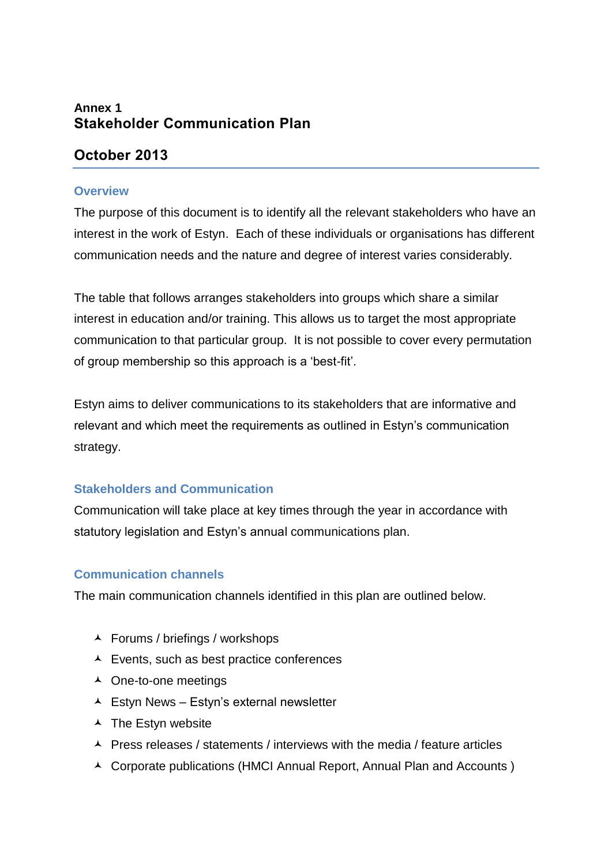## **Annex 1 Stakeholder Communication Plan**

## **October 2013**

#### **Overview**

The purpose of this document is to identify all the relevant stakeholders who have an interest in the work of Estyn. Each of these individuals or organisations has different communication needs and the nature and degree of interest varies considerably.

The table that follows arranges stakeholders into groups which share a similar interest in education and/or training. This allows us to target the most appropriate communication to that particular group. It is not possible to cover every permutation of group membership so this approach is a 'best-fit'.

Estyn aims to deliver communications to its stakeholders that are informative and relevant and which meet the requirements as outlined in Estyn's communication strategy.

#### **Stakeholders and Communication**

Communication will take place at key times through the year in accordance with statutory legislation and Estyn's annual communications plan.

#### **Communication channels**

The main communication channels identified in this plan are outlined below.

- Forums / briefings / workshops
- Events, such as best practice conferences
- ▲ One-to-one meetings
- $\triangle$  Estyn News Estyn's external newsletter
- $\overline{\phantom{a}}$  The Estyn website
- $\triangle$  Press releases / statements / interviews with the media / feature articles
- ▲ Corporate publications (HMCI Annual Report, Annual Plan and Accounts)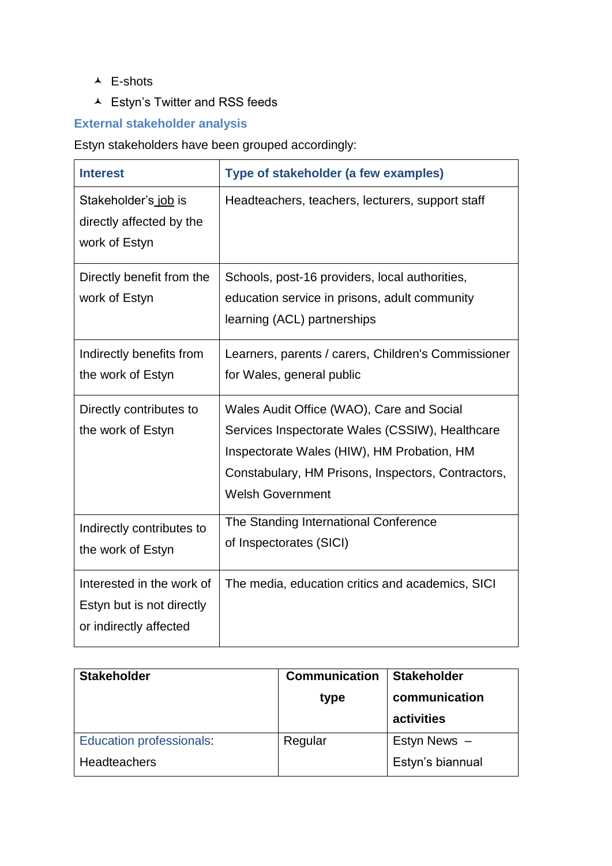- E-shots
- Estyn's Twitter and RSS feeds

## **External stakeholder analysis**

Estyn stakeholders have been grouped accordingly:

| <b>Interest</b>                                                                  | Type of stakeholder (a few examples)                                                                                                                                                                                        |
|----------------------------------------------------------------------------------|-----------------------------------------------------------------------------------------------------------------------------------------------------------------------------------------------------------------------------|
| Stakeholder's job is<br>directly affected by the<br>work of Estyn                | Headteachers, teachers, lecturers, support staff                                                                                                                                                                            |
| Directly benefit from the<br>work of Estyn                                       | Schools, post-16 providers, local authorities,<br>education service in prisons, adult community<br>learning (ACL) partnerships                                                                                              |
| Indirectly benefits from<br>the work of Estyn                                    | Learners, parents / carers, Children's Commissioner<br>for Wales, general public                                                                                                                                            |
| Directly contributes to<br>the work of Estyn                                     | Wales Audit Office (WAO), Care and Social<br>Services Inspectorate Wales (CSSIW), Healthcare<br>Inspectorate Wales (HIW), HM Probation, HM<br>Constabulary, HM Prisons, Inspectors, Contractors,<br><b>Welsh Government</b> |
| Indirectly contributes to<br>the work of Estyn                                   | The Standing International Conference<br>of Inspectorates (SICI)                                                                                                                                                            |
| Interested in the work of<br>Estyn but is not directly<br>or indirectly affected | The media, education critics and academics, SICI                                                                                                                                                                            |

| <b>Stakeholder</b>       | <b>Communication</b><br>type | <b>Stakeholder</b><br>communication<br>activities |
|--------------------------|------------------------------|---------------------------------------------------|
| Education professionals: | Regular                      | Estyn News -                                      |
| <b>Headteachers</b>      |                              | Estyn's biannual                                  |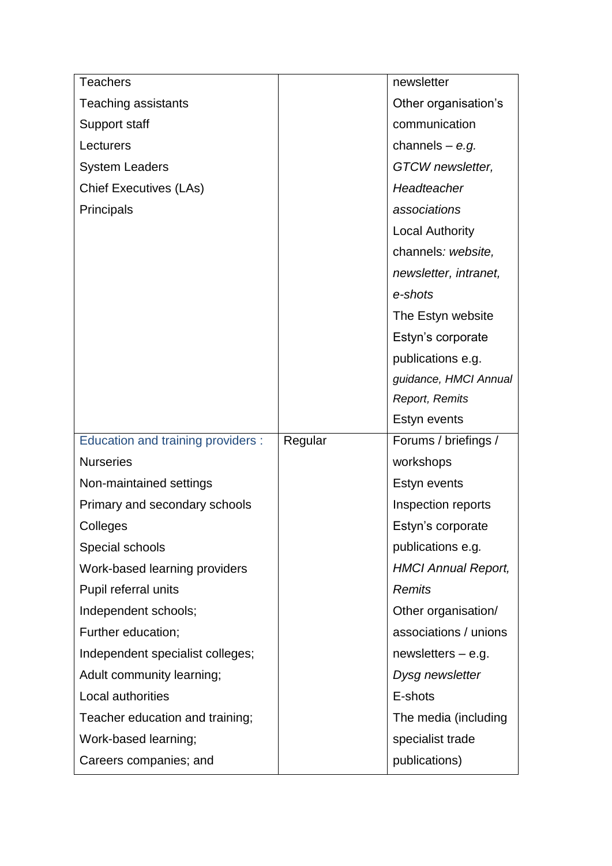| <b>Teachers</b>                    |         | newsletter                 |
|------------------------------------|---------|----------------------------|
| <b>Teaching assistants</b>         |         | Other organisation's       |
| Support staff                      |         | communication              |
| Lecturers                          |         | channels $-$ e.g.          |
| <b>System Leaders</b>              |         | GTCW newsletter,           |
| <b>Chief Executives (LAs)</b>      |         | Headteacher                |
| <b>Principals</b>                  |         | associations               |
|                                    |         | <b>Local Authority</b>     |
|                                    |         | channels: website,         |
|                                    |         | newsletter, intranet,      |
|                                    |         | e-shots                    |
|                                    |         | The Estyn website          |
|                                    |         | Estyn's corporate          |
|                                    |         | publications e.g.          |
|                                    |         | guidance, HMCI Annual      |
|                                    |         | Report, Remits             |
|                                    |         | Estyn events               |
|                                    |         |                            |
| Education and training providers : | Regular | Forums / briefings /       |
| <b>Nurseries</b>                   |         | workshops                  |
| Non-maintained settings            |         | Estyn events               |
| Primary and secondary schools      |         | Inspection reports         |
| Colleges                           |         | Estyn's corporate          |
| Special schools                    |         | publications e.g.          |
| Work-based learning providers      |         | <b>HMCI Annual Report,</b> |
| Pupil referral units               |         | <b>Remits</b>              |
| Independent schools;               |         | Other organisation/        |
| Further education;                 |         | associations / unions      |
| Independent specialist colleges;   |         | newsletters $-$ e.g.       |
| Adult community learning;          |         | Dysg newsletter            |
| Local authorities                  |         | E-shots                    |
| Teacher education and training;    |         | The media (including       |
| Work-based learning;               |         | specialist trade           |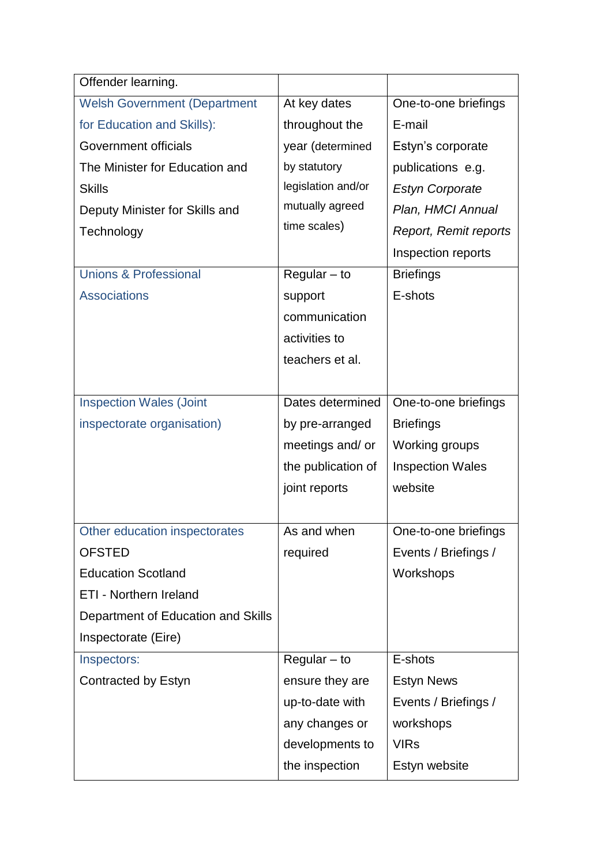| Offender learning.                  |                    |                         |
|-------------------------------------|--------------------|-------------------------|
| <b>Welsh Government (Department</b> | At key dates       | One-to-one briefings    |
| for Education and Skills):          | throughout the     | E-mail                  |
| Government officials                | year (determined   | Estyn's corporate       |
| The Minister for Education and      | by statutory       | publications e.g.       |
| <b>Skills</b>                       | legislation and/or | <b>Estyn Corporate</b>  |
| Deputy Minister for Skills and      | mutually agreed    | Plan, HMCI Annual       |
| Technology                          | time scales)       | Report, Remit reports   |
|                                     |                    | Inspection reports      |
| <b>Unions &amp; Professional</b>    | $Required - to$    | <b>Briefings</b>        |
| <b>Associations</b>                 | support            | E-shots                 |
|                                     | communication      |                         |
|                                     | activities to      |                         |
|                                     | teachers et al.    |                         |
|                                     |                    |                         |
| <b>Inspection Wales (Joint</b>      | Dates determined   | One-to-one briefings    |
| inspectorate organisation)          | by pre-arranged    | <b>Briefings</b>        |
|                                     | meetings and/ or   | Working groups          |
|                                     | the publication of | <b>Inspection Wales</b> |
|                                     | joint reports      | website                 |
|                                     |                    |                         |
| Other education inspectorates       | As and when        | One-to-one briefings    |
| <b>OFSTED</b>                       | required           | Events / Briefings /    |
| <b>Education Scotland</b>           |                    | Workshops               |
| <b>ETI - Northern Ireland</b>       |                    |                         |
| Department of Education and Skills  |                    |                         |
| Inspectorate (Eire)                 |                    |                         |
| Inspectors:                         | $Regular - to$     | E-shots                 |
| Contracted by Estyn                 | ensure they are    | <b>Estyn News</b>       |
|                                     | up-to-date with    | Events / Briefings /    |
|                                     | any changes or     | workshops               |
|                                     | developments to    | <b>VIRs</b>             |
|                                     | the inspection     | Estyn website           |